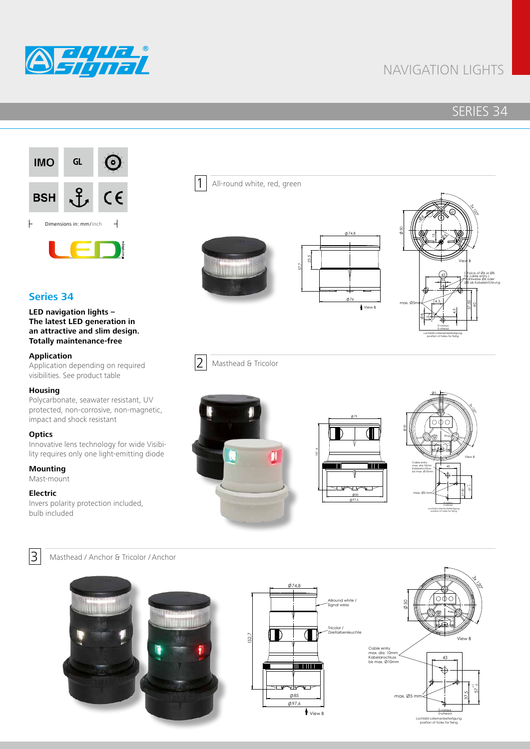

# NAVIGATION LIGHTS

## SERIES 34



## **Series 34**

#### **LED navigation lights – The latest LED generation in an attractive and slim design. Totally maintenance-free**

#### **Application**

Application depending on required visibilities. See product table

#### **Housing**

Polycarbonate, seawater resistant, UV protected, non-corrosive, non-magnetic, impact and shock resistant

#### **Optics**

Innovative lens technology for wide Visibility requires only one light-emitting diode

## **Mounting**

Mast-mount

#### **Electric**

Invers polarity protection included, bulb included



3 Masthead / Anchor & Tricolor / Anchor





2 Masthead & Tricolor

*grant of a patent, utility model or ornamental design registration.*